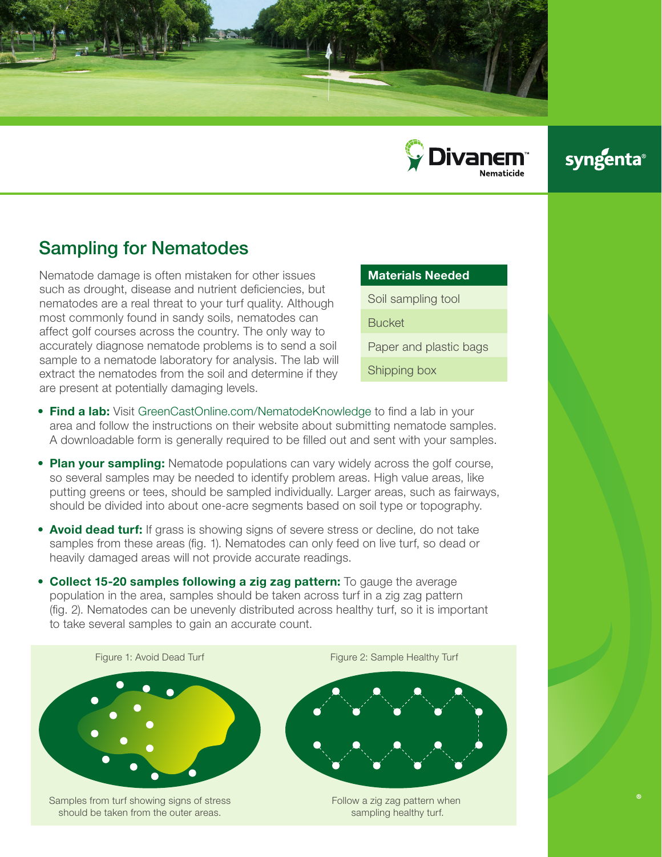



## syngenta®

## Sampling for Nematodes

should be taken from the outer areas.

Nematode damage is often mistaken for other issues such as drought, disease and nutrient deficiencies, but nematodes are a real threat to your turf quality. Although most commonly found in sandy soils, nematodes can affect golf courses across the country. The only way to accurately diagnose nematode problems is to send a soil sample to a nematode laboratory for analysis. The lab will extract the nematodes from the soil and determine if they are present at potentially damaging levels.

## Materials Needed

Soil sampling tool

**Bucket** 

Paper and plastic bags

Shipping box

- Find a lab: Visit GreenCastOnline.com/NematodeKnowledge to find a lab in your area and follow the instructions on their website about submitting nematode samples. A downloadable form is generally required to be filled out and sent with your samples.
- Plan your sampling: Nematode populations can vary widely across the golf course, so several samples may be needed to identify problem areas. High value areas, like putting greens or tees, should be sampled individually. Larger areas, such as fairways, should be divided into about one-acre segments based on soil type or topography.
- Avoid dead turf: If grass is showing signs of severe stress or decline, do not take samples from these areas (fig. 1). Nematodes can only feed on live turf, so dead or heavily damaged areas will not provide accurate readings.
- Collect 15-20 samples following a zig zag pattern: To gauge the average population in the area, samples should be taken across turf in a zig zag pattern (fig. 2). Nematodes can be unevenly distributed across healthy turf, so it is important to take several samples to gain an accurate count.



Follow a zig zag pattern when sampling healthy turf.